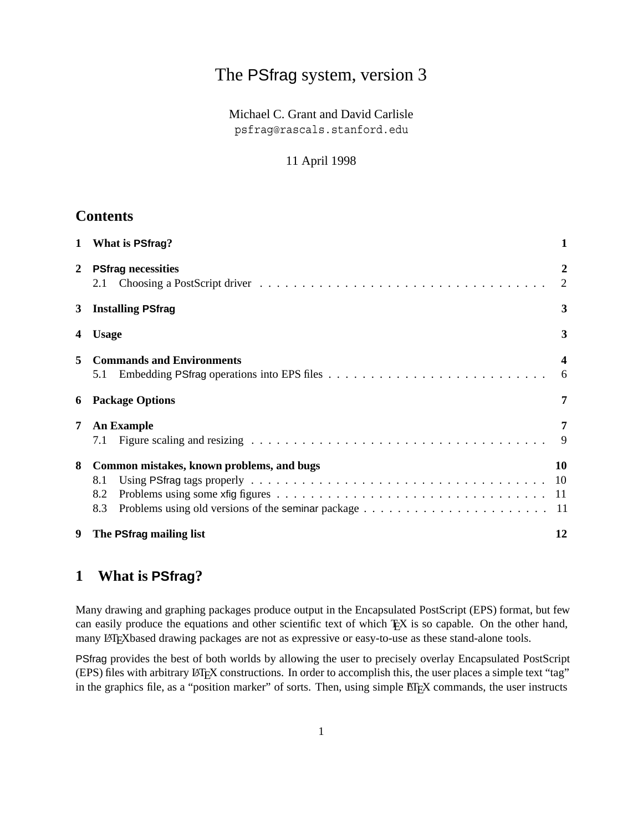# The PSfrag system, version 3

Michael C. Grant and David Carlisle psfrag@rascals.stanford.edu

#### 11 April 1998

## **Contents**

| $\mathbf{1}$ | What is PSfrag?                                                | 1                            |
|--------------|----------------------------------------------------------------|------------------------------|
| 2            | <b>PSfrag necessities</b><br>2.1                               | $\boldsymbol{2}$<br>2        |
| 3            | <b>Installing PSfrag</b>                                       | 3                            |
| 4            | <b>Usage</b>                                                   | 3                            |
| 5            | <b>Commands and Environments</b><br>5.1                        | $\overline{\mathbf{4}}$<br>6 |
| 6            | <b>Package Options</b>                                         | 7                            |
| 7            | <b>An Example</b><br>7.1                                       | 7<br>9                       |
| 8            | Common mistakes, known problems, and bugs<br>8.1<br>8.2<br>8.3 | 10                           |
| 9            | The PSfrag mailing list                                        | 12                           |

# **1 What is PSfrag?**

Many drawing and graphing packages produce output in the Encapsulated PostScript (EPS) format, but few can easily produce the equations and other scientific text of which TEX is so capable. On the other hand, many LATEX based drawing packages are not as expressive or easy-to-use as these stand-alone tools.

PSfrag provides the best of both worlds by allowing the user to precisely overlay Encapsulated PostScript (EPS) files with arbitrary LATEX constructions. In order to accomplish this, the user places a simple text "tag" in the graphics file, as a "position marker" of sorts. Then, using simple EIEX commands, the user instructs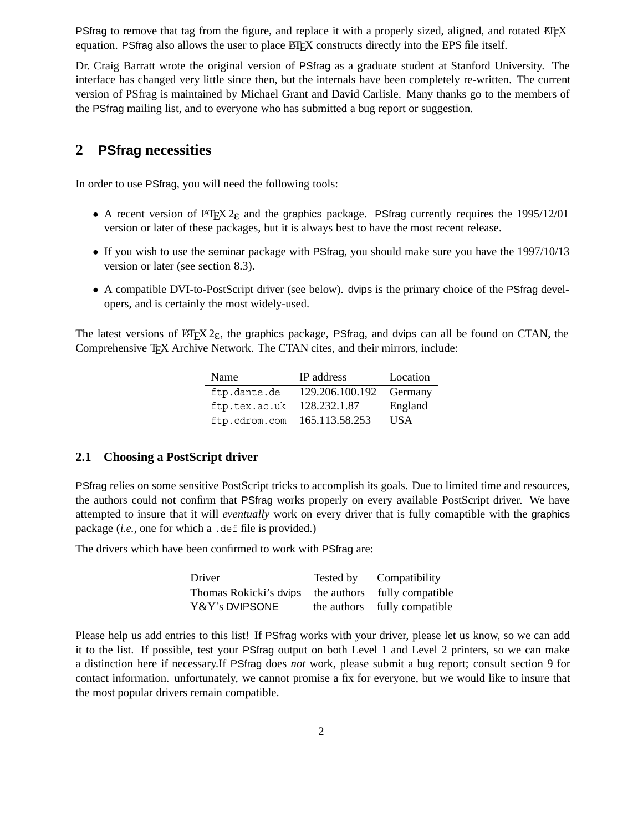PSfrag to remove that tag from the figure, and replace it with a properly sized, aligned, and rotated  $E$ F $\overline{E}X$ equation. PSfrag also allows the user to place ETEX constructs directly into the EPS file itself.

Dr. Craig Barratt wrote the original version of PSfrag as a graduate student at Stanford University. The interface has changed very little since then, but the internals have been completely re-written. The current version of PSfrag is maintained by Michael Grant and David Carlisle. Many thanks go to the members of the PSfrag mailing list, and to everyone who has submitted a bug report or suggestion.

### **2 PSfrag necessities**

In order to use PSfrag, you will need the following tools:

- A recent version of  $\mathbb{E} \mathbb{E} \times \mathbb{E} \mathbb{E} \times \mathbb{E}$  and the graphics package. PSfrag currently requires the 1995/12/01 version or later of these packages, but it is always best to have the most recent release.
- If you wish to use the seminar package with PSfrag, you should make sure you have the 1997/10/13 version or later (see section 8.3).
- A compatible DVI-to-PostScript driver (see below). dvips is the primary choice of the PSfrag developers, and is certainly the most widely-used.

The latest versions of  $\triangle E$ <sub>E</sub>X 2<sub>ε</sub>, the graphics package, PSfrag, and dvips can all be found on CTAN, the Comprehensive T<sub>EX</sub> Archive Network. The CTAN cites, and their mirrors, include:

| Name          | <b>IP</b> address | Location         |
|---------------|-------------------|------------------|
| ftp.dante.de  | 129.206.100.192   | Germany          |
| ftp.tex.ac.uk | 128.232.1.87      | England          |
| ftp.cdrom.com | 165.113.58.253    | USA <sup>.</sup> |

#### **2.1 Choosing a PostScript driver**

PSfrag relies on some sensitive PostScript tricks to accomplish its goals. Due to limited time and resources, the authors could not confirm that PSfrag works properly on every available PostScript driver. We have attempted to insure that it will *eventually* work on every driver that is fully comaptible with the graphics package (*i.e.*, one for which a .def file is provided.)

The drivers which have been confirmed to work with PSfrag are:

| Driver                 | Tested by   | Compatibility    |
|------------------------|-------------|------------------|
| Thomas Rokicki's dvips | the authors | fully compatible |
| Y&Y's DVIPSONE         | the authors | fully compatible |

Please help us add entries to this list! If PSfrag works with your driver, please let us know, so we can add it to the list. If possible, test your PSfrag output on both Level 1 and Level 2 printers, so we can make a distinction here if necessary.If PSfrag does *not* work, please submit a bug report; consult section 9 for contact information. unfortunately, we cannot promise a fix for everyone, but we would like to insure that the most popular drivers remain compatible.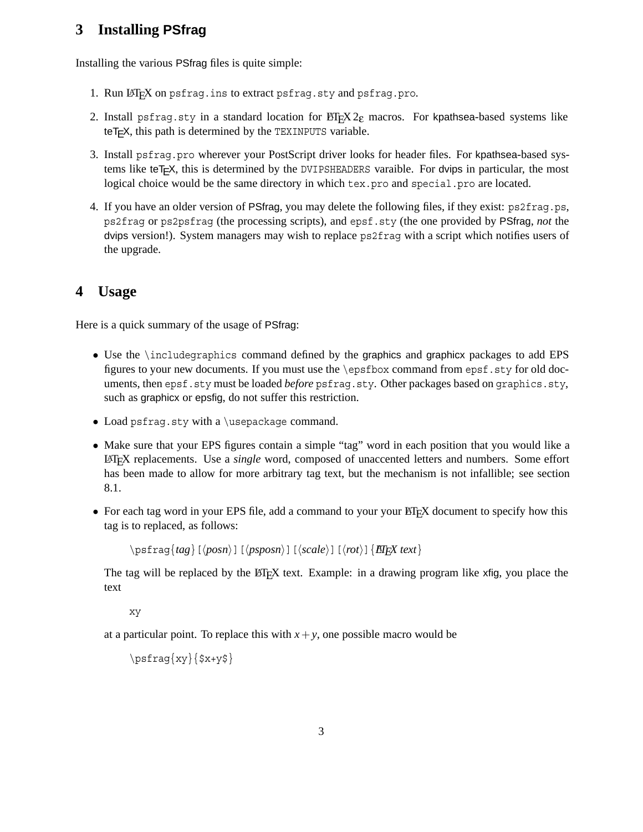# **3 Installing PSfrag**

Installing the various PSfrag files is quite simple:

- 1. Run LATEX on psfrag.ins to extract psfrag.sty and psfrag.pro.
- 2. Install psfrag.sty in a standard location for  $\mathbb{E} \mathbb{E} \times \mathbb{E} \times \mathbb{E}$  macros. For kpathsea-based systems like te $T$  $\in$ X, this path is determined by the TEXINPUTS variable.
- 3. Install psfrag.pro wherever your PostScript driver looks for header files. For kpathsea-based systems like teTEX, this is determined by the DVIPSHEADERS varaible. For dvips in particular, the most logical choice would be the same directory in which tex.pro and special.pro are located.
- 4. If you have an older version of PSfrag, you may delete the following files, if they exist: ps2frag.ps, ps2frag or ps2psfrag (the processing scripts), and epsf.sty (the one provided by PSfrag, *not* the dvips version!). System managers may wish to replace ps2frag with a script which notifies users of the upgrade.

### **4 Usage**

Here is a quick summary of the usage of PSfrag:

- Use the \includegraphics command defined by the graphics and graphicx packages to add EPS figures to your new documents. If you must use the \epsfbox command from epsf.sty for old documents, then epsf.sty must be loaded *before* psfrag.sty. Other packages based on graphics.sty, such as graphicx or epsfig, do not suffer this restriction.
- Load psfrag.sty with a \usepackage command.
- Make sure that your EPS figures contain a simple "tag" word in each position that you would like a LATEX replacements. Use a *single* word, composed of unaccented letters and numbers. Some effort has been made to allow for more arbitrary tag text, but the mechanism is not infallible; see section 8.1.
- For each tag word in your EPS file, add a command to your your ET<sub>F</sub>X document to specify how this tag is to replaced, as follows:

```
\pmb{\Rightarrow} \pmb{\Rightarrow} \pmb{\Rightarrow} \pmb{\Rightarrow} \pmb{\Rightarrow} \pmb{\Rightarrow} \pmb{\Rightarrow} \pmb{\Rightarrow} \pmb{\Rightarrow} \pmb{\Rightarrow} \pmb{\Rightarrow} \pmb{\Rightarrow} \pmb{\Rightarrow} \pmb{\Rightarrow} \pmb{\Rightarrow} \pmb{\Rightarrow} \pmb{\Rightarrow} \pmb{\Rightarrow} \pmb{\Rightarrow} \pmb{\Rightarrow} \pmb{\Rightarrow} \pmb{\Rightarrow} \pmb{\Rightarrow} \pmb{\Rightarrow} \pmb{\
```
The tag will be replaced by the ET<sub>E</sub>X text. Example: in a drawing program like xfig, you place the text

xy

at a particular point. To replace this with  $x + y$ , one possible macro would be

\psfrag{xy}{\$x+y\$}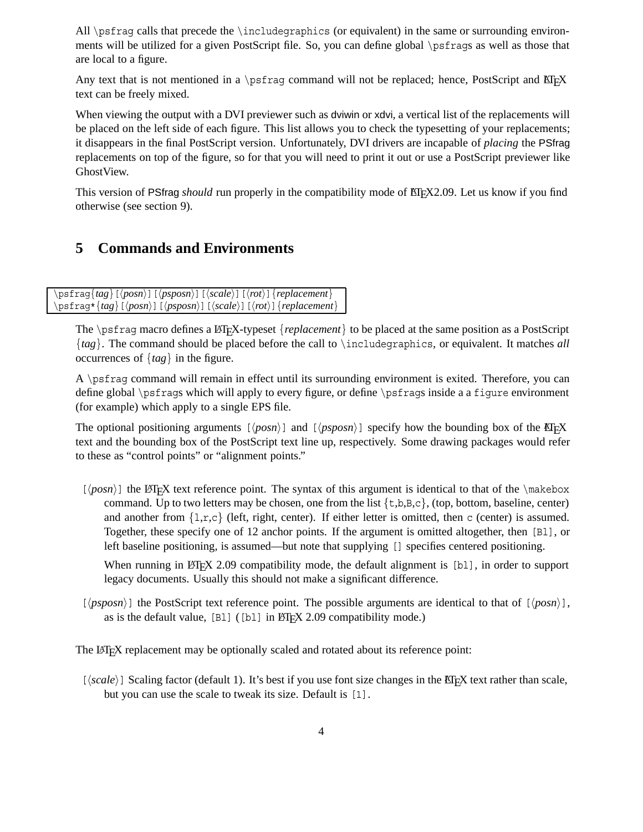All \psfrag calls that precede the \includegraphics (or equivalent) in the same or surrounding environments will be utilized for a given PostScript file. So, you can define global \psfrags as well as those that are local to a figure.

Any text that is not mentioned in a \psfrag command will not be replaced; hence, PostScript and EIFX text can be freely mixed.

When viewing the output with a DVI previewer such as dviwin or xdvi, a vertical list of the replacements will be placed on the left side of each figure. This list allows you to check the typesetting of your replacements; it disappears in the final PostScript version. Unfortunately, DVI drivers are incapable of *placing* the PSfrag replacements on top of the figure, so for that you will need to print it out or use a PostScript previewer like GhostView.

This version of PSfrag *should* run properly in the compatibility mode of ET<sub>E</sub>X2.09. Let us know if you find otherwise (see section 9).

## **5 Commands and Environments**

\psfrag{*tag*}[-*posn*][-*psposn*][-*scale*][-*rot*]{*replacement*} \psfrag\*{*tag*}[ $\langle posn \rangle$ ][ $\langle posn \rangle$ ][ $\langle scale \rangle$ ][ $\langle rot \rangle$ ]{*replacement*}

The \psfrag macro defines a LAT<sub>EX</sub>-typeset {*replacement*} to be placed at the same position as a PostScript {*tag*}. The command should be placed before the call to \includegraphics, or equivalent. It matches *all* occurrences of {*tag*} in the figure.

A \psfrag command will remain in effect until its surrounding environment is exited. Therefore, you can define global \psfrags which will apply to every figure, or define \psfrags inside a a figure environment (for example) which apply to a single EPS file.

The optional positioning arguments  $[\langle posn \rangle]$  and  $[\langle posn \rangle]$  specify how the bounding box of the ETEX text and the bounding box of the PostScript text line up, respectively. Some drawing packages would refer to these as "control points" or "alignment points."

 $[\langle posn \rangle]$  the LAT<sub>E</sub>X text reference point. The syntax of this argument is identical to that of the \makebox command. Up to two letters may be chosen, one from the list  $\{\text{\text{t},b,B,c}\},$  (top, bottom, baseline, center) and another from  $\{1,r,c\}$  (left, right, center). If either letter is omitted, then c (center) is assumed. Together, these specify one of 12 anchor points. If the argument is omitted altogether, then [Bl], or left baseline positioning, is assumed—but note that supplying [] specifies centered positioning.

When running in  $\mathbb{E} \mathbb{E} \mathbb{E} \mathbb{E} \mathbb{E} \mathbb{E} \mathbb{E} \mathbb{E} \mathbb{E} \mathbb{E} \mathbb{E} \mathbb{E} \mathbb{E} \mathbb{E} \mathbb{E} \mathbb{E} \mathbb{E} \mathbb{E} \mathbb{E} \mathbb{E} \mathbb{E} \mathbb{E} \mathbb{E} \mathbb{E} \mathbb{E} \mathbb{E} \mathbb{E} \mathbb{E} \mathbb{E} \mathbb{E} \mathbb{E} \mathbb{E} \mathbb{E} \mathbb{E}$ legacy documents. Usually this should not make a significant difference.

 $[\langle psposn\rangle]$  the PostScript text reference point. The possible arguments are identical to that of  $[\langle posn\rangle]$ , as is the default value,  $[Bl]$  ( $[b1]$  in  $\mathbb{B}$ F<sub>K</sub> 2.09 compatibility mode.)

The LATEX replacement may be optionally scaled and rotated about its reference point:

 $[\langle scale \rangle]$  Scaling factor (default 1). It's best if you use font size changes in the ET<sub>E</sub>X text rather than scale, but you can use the scale to tweak its size. Default is [1].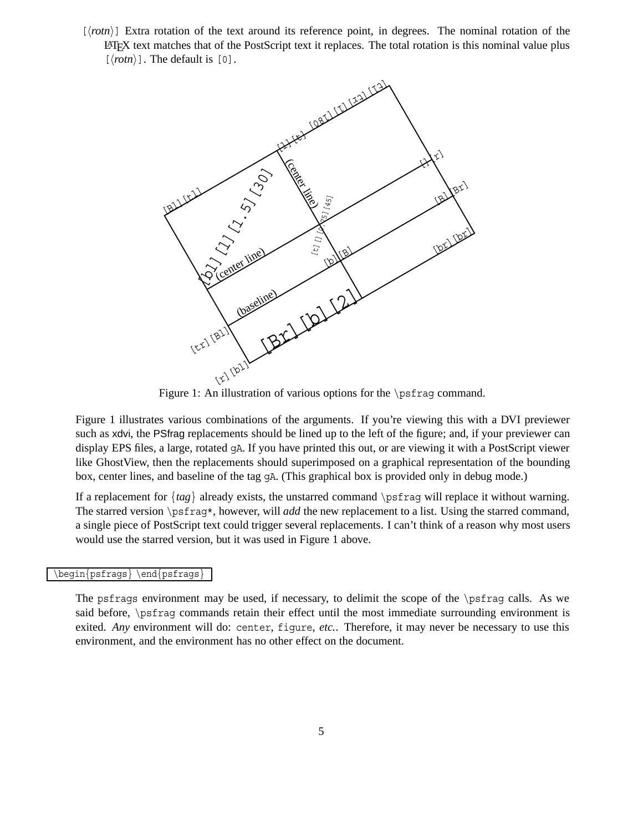$[\langle$ *rotn* $\rangle]$  Extra rotation of the text around its reference point, in degrees. The nominal rotation of the LATEX text matches that of the PostScript text it replaces. The total rotation is this nominal value plus  $[\langle \text{rotn} \rangle]$ . The default is [0].



Figure 1: An illustration of various options for the \psfrag command.

Figure 1 illustrates various combinations of the arguments. If you're viewing this with a DVI previewer such as xdvi, the PSfrag replacements should be lined up to the left of the figure; and, if your previewer can display EPS files, a large, rotated gA. If you have printed this out, or are viewing it with a PostScript viewer like GhostView, then the replacements should superimposed on a graphical representation of the bounding box, center lines, and baseline of the tag gA. (This graphical box is provided only in debug mode.)

If a replacement for  $\{tag\}$  already exists, the unstarred command  $\text{logfrag}$  will replace it without warning. The starred version \psfrag\*, however, will *add* the new replacement to a list. Using the starred command, a single piece of PostScript text could trigger several replacements. I can't think of a reason why most users would use the starred version, but it was used in Figure 1 above.

#### \begin{psfrags} \end{psfrags}

The psfrags environment may be used, if necessary, to delimit the scope of the \psfrag calls. As we said before, \psfrag commands retain their effect until the most immediate surrounding environment is exited. *Any* environment will do: center, figure, *etc.*. Therefore, it may never be necessary to use this environment, and the environment has no other effect on the document.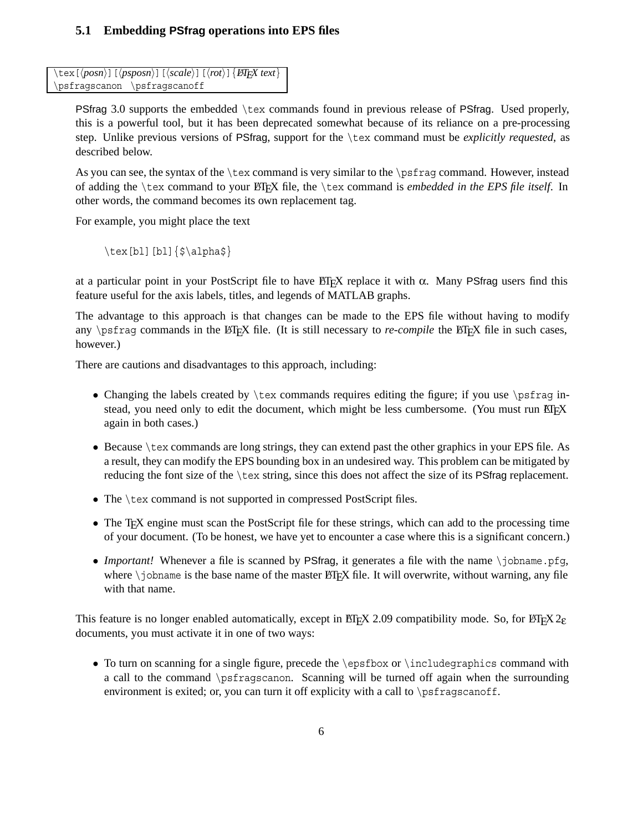### **5.1 Embedding PSfrag operations into EPS files**

```
\tex[-
posn][-
psposn][-
scale][-
rot]{LATEX text}
\psfragscanon \psfragscanoff
```
PSfrag 3.0 supports the embedded \tex commands found in previous release of PSfrag. Used properly, this is a powerful tool, but it has been deprecated somewhat because of its reliance on a pre-processing step. Unlike previous versions of PSfrag, support for the \tex command must be *explicitly requested*, as described below.

As you can see, the syntax of the \tex command is very similar to the \psfrag command. However, instead of adding the \tex command to your LATEX file, the \tex command is *embedded in the EPS file itself*. In other words, the command becomes its own replacement tag.

For example, you might place the text

 $\text{b1}[b1]\{\$\alpha\}\$ 

at a particular point in your PostScript file to have  $\Delta E$ <sub>TEX</sub> replace it with  $\alpha$ . Many PSfrag users find this feature useful for the axis labels, titles, and legends of MATLAB graphs.

The advantage to this approach is that changes can be made to the EPS file without having to modify any \psfrag commands in the LATEX file. (It is still necessary to *re-compile* the LATEX file in such cases, however.)

There are cautions and disadvantages to this approach, including:

- Changing the labels created by  $\text{c}$  commands requires editing the figure; if you use  $\text{c}$  instead, you need only to edit the document, which might be less cumbersome. (You must run ETEX again in both cases.)
- Because \tex commands are long strings, they can extend past the other graphics in your EPS file. As a result, they can modify the EPS bounding box in an undesired way. This problem can be mitigated by reducing the font size of the \tex string, since this does not affect the size of its PSfrag replacement.
- The \tex command is not supported in compressed PostScript files.
- The T<sub>EX</sub> engine must scan the PostScript file for these strings, which can add to the processing time of your document. (To be honest, we have yet to encounter a case where this is a significant concern.)
- *Important!* Whenever a file is scanned by PSfrag, it generates a file with the name \jobname.pfg, where  $\iota$  obname is the base name of the master  $\operatorname{BTr}X$  file. It will overwrite, without warning, any file with that name.

This feature is no longer enabled automatically, except in ET<sub>EX</sub> 2.09 compatibility mode. So, for LATEX 2<sub>ε</sub> documents, you must activate it in one of two ways:

• To turn on scanning for a single figure, precede the \epsfbox or \includegraphics command with a call to the command \psfragscanon. Scanning will be turned off again when the surrounding environment is exited; or, you can turn it off explicity with a call to \psfragscanoff.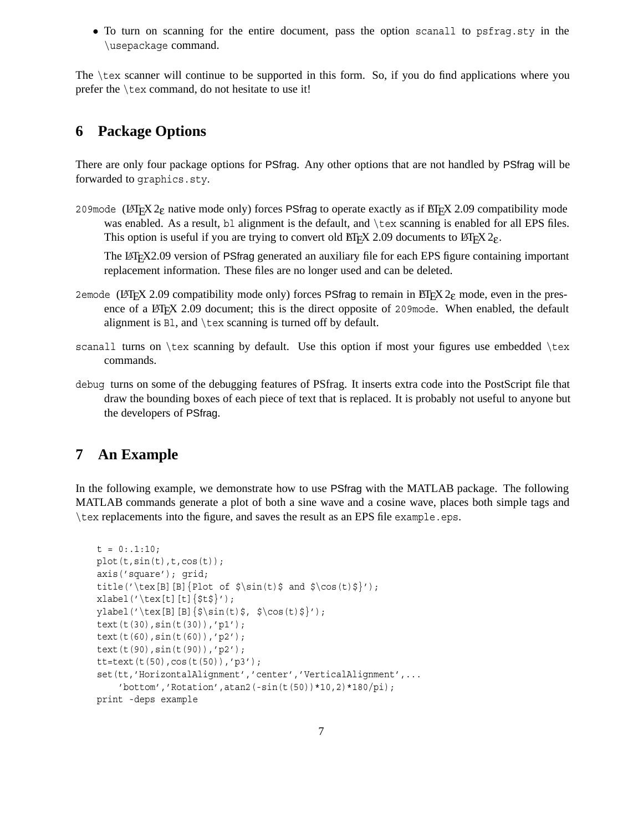• To turn on scanning for the entire document, pass the option scanall to psfrag.sty in the \usepackage command.

The \tex scanner will continue to be supported in this form. So, if you do find applications where you prefer the \tex command, do not hesitate to use it!

## **6 Package Options**

There are only four package options for PSfrag. Any other options that are not handled by PSfrag will be forwarded to graphics.sty.

209mode (LATEX 2<sub>ε</sub> native mode only) forces PSfrag to operate exactly as if ETEX 2.09 compatibility mode was enabled. As a result, bl alignment is the default, and \tex scanning is enabled for all EPS files. This option is useful if you are trying to convert old ETEX 2.09 documents to ETEX  $2\varepsilon$ .

The LATEX2.09 version of PSfrag generated an auxiliary file for each EPS figure containing important replacement information. These files are no longer used and can be deleted.

- 2emode (LATEX 2.09 compatibility mode only) forces PSfrag to remain in LATEX 2 $_{\rm E}$  mode, even in the presence of a LAT<sub>EX</sub> 2.09 document; this is the direct opposite of 209mode. When enabled, the default alignment is Bl, and \tex scanning is turned off by default.
- scanall turns on  $\text{tex}$  scanning by default. Use this option if most your figures use embedded  $\text{te}$ commands.
- debug turns on some of the debugging features of PSfrag. It inserts extra code into the PostScript file that draw the bounding boxes of each piece of text that is replaced. It is probably not useful to anyone but the developers of PSfrag.

# **7 An Example**

In the following example, we demonstrate how to use PSfrag with the MATLAB package. The following MATLAB commands generate a plot of both a sine wave and a cosine wave, places both simple tags and \tex replacements into the figure, and saves the result as an EPS file example.eps.

```
t = 0: .1:10;plot(t,sin(t),t,cos(t));axis('square'); grid;
title('\tex[B][B]{Plot of \sin(t) and \cos(t) }');
xlabel('text[t][t]{$st$'}ylabel('text[B][B]{\s\sin(t)\s, \s\cos(t)\s)');text(t(30),sin(t(30)),'p1');
text(t(60),sin(t(60)),'p2');
text(t(90),sin(t(90)),'p2');
tt=text(t(50),cos(t(50)),'p3');
set(tt,'HorizontalAlignment','center','VerticalAlignment',...
    'bottom','Rotation',atan2(-sin(t(50))*10,2)*180/pi);
print -deps example
```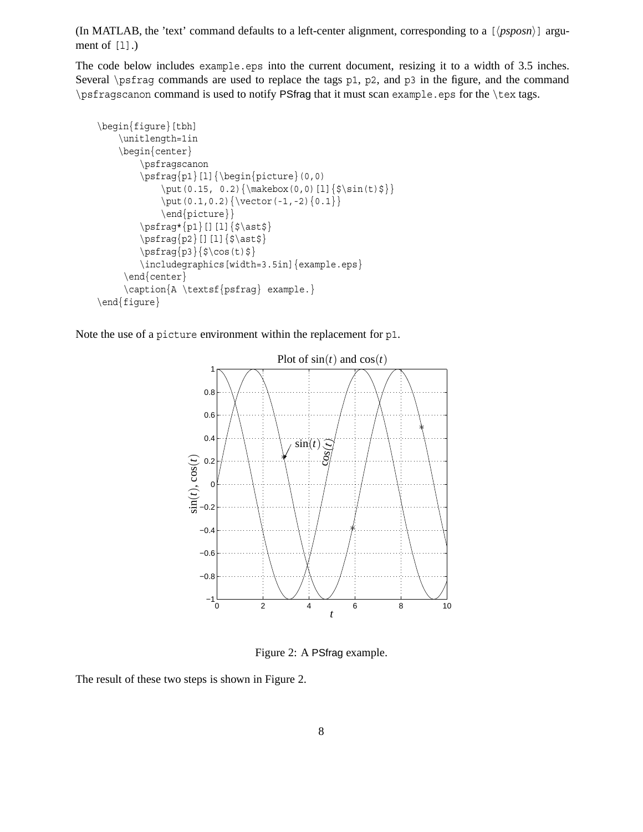(In MATLAB, the 'text' command defaults to a left-center alignment, corresponding to a  $\left[$   $\langle psposn\rangle\right]$  argument of  $[1]$ .)

The code below includes example.eps into the current document, resizing it to a width of 3.5 inches. Several \psfrag commands are used to replace the tags p1, p2, and p3 in the figure, and the command \psfragscanon command is used to notify PSfrag that it must scan example.eps for the \tex tags.

```
\begin{figure}[tbh]
    \unitlength=1in
    \begin{center}
        \psfragscanon
        \psfrag{p1}[l]{\begin{picture}{0,0} \end{picture}}\put (0.15, 0.2) {\makebox(0,0) [1]} {<math>\sin(t)</math>\put(0.1,0.2){\vector(-1,-2){0.1}}
             \end{picture}}
        \psfrag*[p1][[][1]{\$\ast\}\psfrag{p2}[][l]{$\ast$}
        \psfrag{p3}{\S\cos(t)\\includegraphics[width=3.5in]{example.eps}
     \end{center}
     \caption{A \textsf{psfrag} example.}
\end{figure}
```
Note the use of a picture environment within the replacement for p1.



Figure 2: A PSfrag example.

The result of these two steps is shown in Figure 2.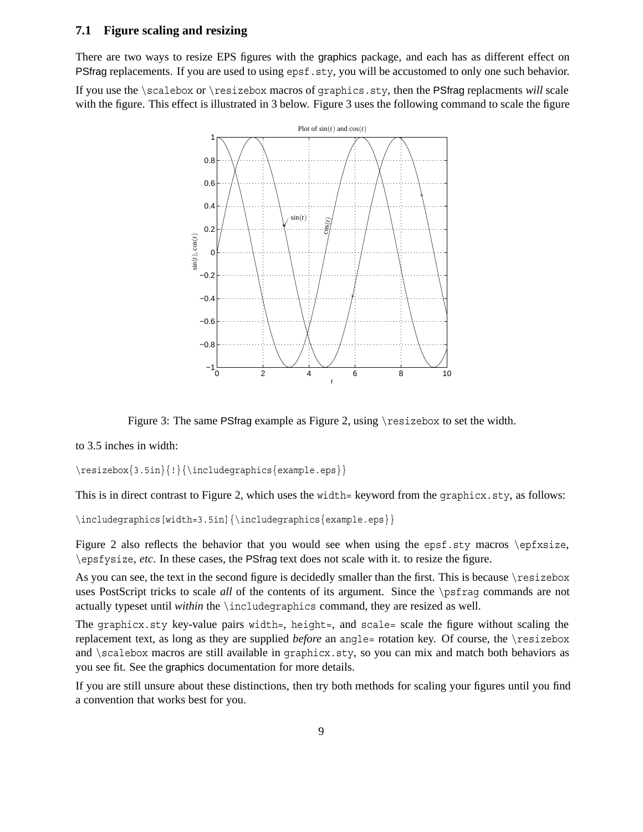#### **7.1 Figure scaling and resizing**

There are two ways to resize EPS figures with the graphics package, and each has as different effect on PSfrag replacements. If you are used to using epsf.sty, you will be accustomed to only one such behavior.

If you use the \scalebox or \resizebox macros of graphics.sty, then the PSfrag replacments *will* scale with the figure. This effect is illustrated in 3 below. Figure 3 uses the following command to scale the figure



Figure 3: The same PSfrag example as Figure 2, using \resizebox to set the width.

to 3.5 inches in width:

\resizebox{3.5in}{!}{\includegraphics{example.eps}}

This is in direct contrast to Figure 2, which uses the width= keyword from the graphicx.sty, as follows:

\includegraphics[width=3.5in]{\includegraphics{example.eps}}

Figure 2 also reflects the behavior that you would see when using the epsf.sty macros \epfxsize, \epsfysize, *etc*. In these cases, the PSfrag text does not scale with it. to resize the figure.

As you can see, the text in the second figure is decidedly smaller than the first. This is because \resizebox uses PostScript tricks to scale *all* of the contents of its argument. Since the \psfrag commands are not actually typeset until *within* the \includegraphics command, they are resized as well.

The graphicx.sty key-value pairs width=, height=, and scale= scale the figure without scaling the replacement text, as long as they are supplied *before* an angle= rotation key. Of course, the \resizebox and \scalebox macros are still available in graphicx.sty, so you can mix and match both behaviors as you see fit. See the graphics documentation for more details.

If you are still unsure about these distinctions, then try both methods for scaling your figures until you find a convention that works best for you.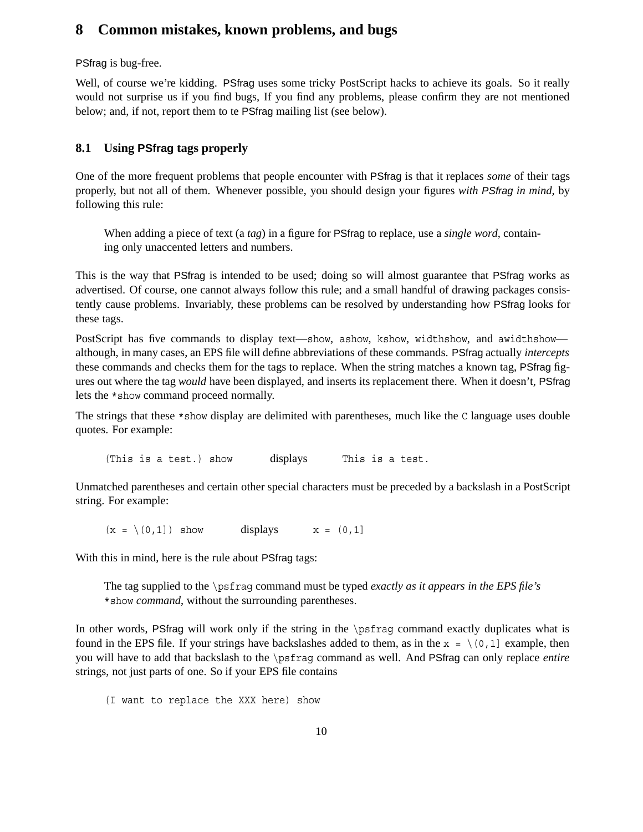### **8 Common mistakes, known problems, and bugs**

PSfrag is bug-free.

Well, of course we're kidding. PSfrag uses some tricky PostScript hacks to achieve its goals. So it really would not surprise us if you find bugs, If you find any problems, please confirm they are not mentioned below; and, if not, report them to te PSfrag mailing list (see below).

### **8.1 Using PSfrag tags properly**

One of the more frequent problems that people encounter with PSfrag is that it replaces *some* of their tags properly, but not all of them. Whenever possible, you should design your figures *with PSfrag in mind*, by following this rule:

When adding a piece of text (a *tag*) in a figure for PSfrag to replace, use a *single word*, containing only unaccented letters and numbers.

This is the way that PSfrag is intended to be used; doing so will almost guarantee that PSfrag works as advertised. Of course, one cannot always follow this rule; and a small handful of drawing packages consistently cause problems. Invariably, these problems can be resolved by understanding how PSfrag looks for these tags.

PostScript has five commands to display text—show, ashow, kshow, widthshow, and awidthshow although, in many cases, an EPS file will define abbreviations of these commands. PSfrag actually *intercepts* these commands and checks them for the tags to replace. When the string matches a known tag, PSfrag figures out where the tag *would* have been displayed, and inserts its replacement there. When it doesn't, PSfrag lets the \*show command proceed normally.

The strings that these \*show display are delimited with parentheses, much like the C language uses double quotes. For example:

(This is a test.) show displays This is a test.

Unmatched parentheses and certain other special characters must be preceded by a backslash in a PostScript string. For example:

 $(x = \setminus (0,1])$  show displays  $x = (0,1]$ 

With this in mind, here is the rule about PSfrag tags:

The tag supplied to the \psfrag command must be typed *exactly as it appears in the EPS file's* \*show *command*, without the surrounding parentheses.

In other words, PSfrag will work only if the string in the \psfrag command exactly duplicates what is found in the EPS file. If your strings have backslashes added to them, as in the  $x = \{(0,1]$  example, then you will have to add that backslash to the \psfrag command as well. And PSfrag can only replace *entire* strings, not just parts of one. So if your EPS file contains

(I want to replace the XXX here) show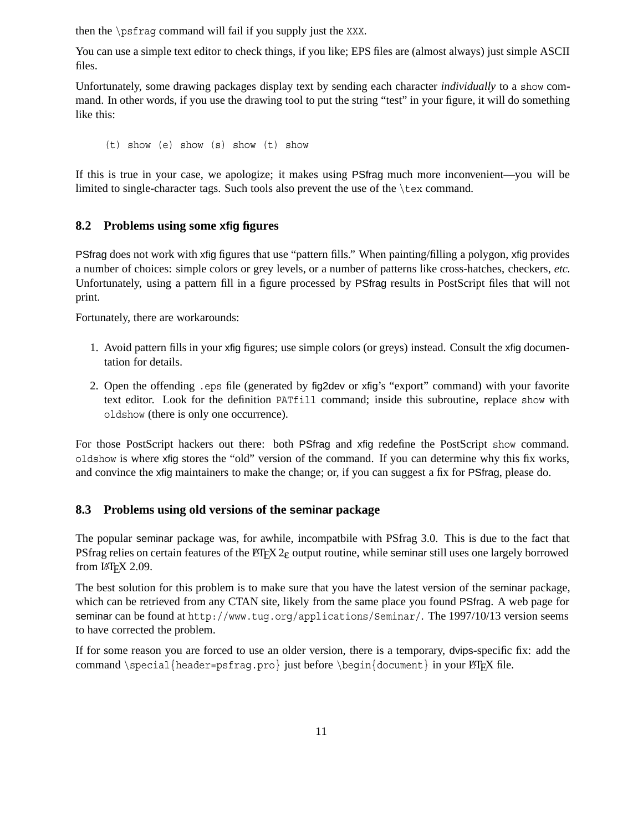then the \psfrag command will fail if you supply just the XXX.

You can use a simple text editor to check things, if you like; EPS files are (almost always) just simple ASCII files.

Unfortunately, some drawing packages display text by sending each character *individually* to a show command. In other words, if you use the drawing tool to put the string "test" in your figure, it will do something like this:

(t) show (e) show (s) show (t) show

If this is true in your case, we apologize; it makes using PSfrag much more inconvenient—you will be limited to single-character tags. Such tools also prevent the use of the \tex command.

### **8.2 Problems using some xfig figures**

PSfrag does not work with xfig figures that use "pattern fills." When painting/filling a polygon, xfig provides a number of choices: simple colors or grey levels, or a number of patterns like cross-hatches, checkers, *etc.* Unfortunately, using a pattern fill in a figure processed by PSfrag results in PostScript files that will not print.

Fortunately, there are workarounds:

- 1. Avoid pattern fills in your xfig figures; use simple colors (or greys) instead. Consult the xfig documentation for details.
- 2. Open the offending .eps file (generated by fig2dev or xfig's "export" command) with your favorite text editor. Look for the definition PATfill command; inside this subroutine, replace show with oldshow (there is only one occurrence).

For those PostScript hackers out there: both PSfrag and xfig redefine the PostScript show command. oldshow is where xfig stores the "old" version of the command. If you can determine why this fix works, and convince the xfig maintainers to make the change; or, if you can suggest a fix for PSfrag, please do.

#### **8.3 Problems using old versions of the seminar package**

The popular seminar package was, for awhile, incompatbile with PSfrag 3.0. This is due to the fact that PSfrag relies on certain features of the  $\text{E}\Gamma\text{E}X$  2 $\varepsilon$  output routine, while seminar still uses one largely borrowed from  $LATEX$  2.09.

The best solution for this problem is to make sure that you have the latest version of the seminar package, which can be retrieved from any CTAN site, likely from the same place you found PSfrag. A web page for seminar can be found at http://www.tug.org/applications/Seminar/. The 1997/10/13 version seems to have corrected the problem.

If for some reason you are forced to use an older version, there is a temporary, dvips-specific fix: add the command \special{header=psfrag.pro} just before \begin{document} in your  $\mathbb{P}FX$  file.